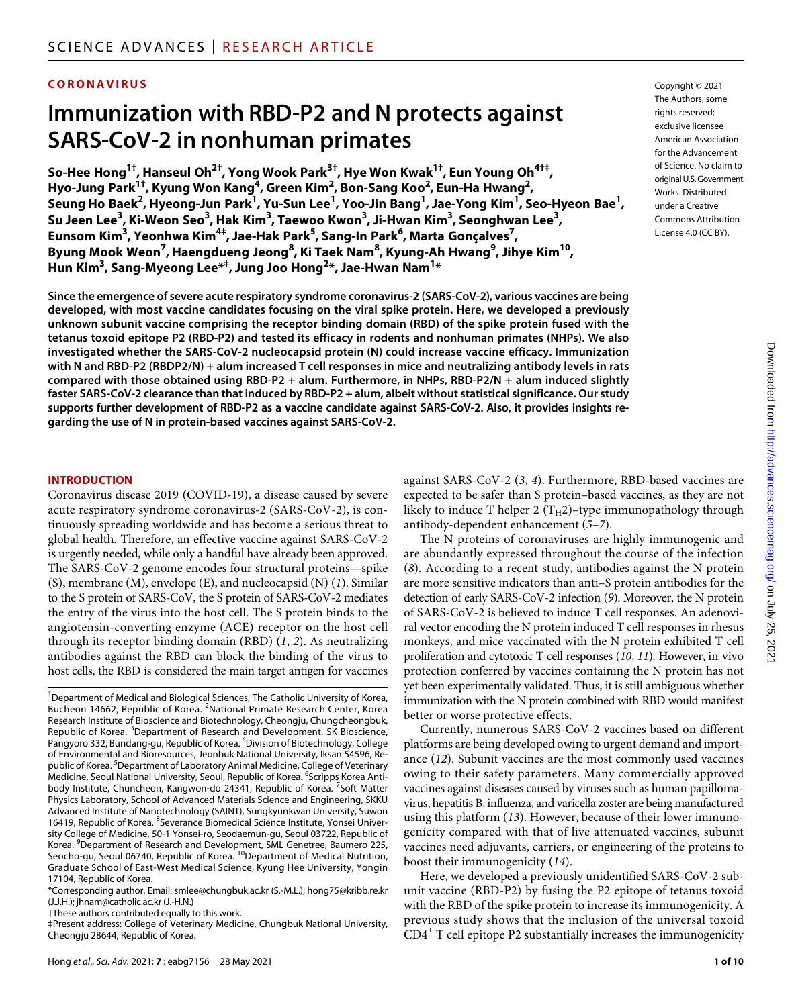# **CORONAVIRUS**

# **Immunization with RBD-P2 andN protects against SARS-CoV-2 in nonhuman primates**

**So-Hee Hong1†, Hanseul Oh2†, Yong Wook Park3†, Hye Won Kwak1†, Eun Young Oh4†‡, Hyo-Jung Park1†, Kyung Won Kang4 , Green Kim2 , Bon-Sang Koo2 , Eun-Ha Hwang2 ,**   $\mathbf{S}$ eung Ho $\mathbf{B}$ aek $^2$ , Hyeong-Jun Park $^1$ , Yu-Sun Lee $^1$ , Yoo-Jin Bang $^1$ , Jae-Yong Kim $^1$ , Seo-Hyeon Bae $^1$ , **Su Jeen Lee3 , Ki-Weon Seo3 , Hak Kim3 , Taewoo Kwon3 , Ji-Hwan Kim3 , Seonghwan Lee3 , Eunsom Kim3 , Yeonhwa Kim4‡, Jae-Hak Park5 , Sang-In Park6 , Marta Gonçalves7 , Byung Mook Weon7 , Haengdueng Jeong8 , Ki Taek Nam8 , Kyung-Ah Hwang9 , Jihye Kim10, Hun Kim3 , Sang-Myeong Lee\*‡ , Jung Joo Hong2 \*, Jae-Hwan Nam1 \***

**Since the emergence of severe acute respiratory syndrome coronavirus-2 (SARS-CoV-2), various vaccines are being developed, with most vaccine candidates focusing on the viral spike protein. Here, we developed a previously unknown subunit vaccine comprising the receptor binding domain (RBD) of the spike protein fused with the tetanus toxoid epitope P2 (RBD-P2) and tested its efficacy in rodents and nonhuman primates (NHPs). We also investigated whether the SARS-CoV-2 nucleocapsid protein (N) could increase vaccine efficacy. Immunization with N and RBD-P2 (RBDP2/N) + alum increased T cell responses in mice and neutralizing antibody levels in rats compared with those obtained using RBD-P2 + alum. Furthermore, in NHPs, RBD-P2/N + alum induced slightly faster SARS-CoV-2 clearance than that induced by RBD-P2 + alum, albeit without statistical significance. Our study supports further development of RBD-P2 as a vaccine candidate against SARS-CoV-2. Also, it provides insights regarding the use of N in protein-based vaccines against SARS-CoV-2.**

#### **INTRODUCTION**

Coronavirus disease 2019 (COVID-19), a disease caused by severe acute respiratory syndrome coronavirus-2 (SARS-CoV-2), is continuously spreading worldwide and has become a serious threat to global health. Therefore, an effective vaccine against SARS-CoV-2 is urgently needed, while only a handful have already been approved. The SARS-CoV-2 genome encodes four structural proteins—spike (S), membrane (M), envelope (E), and nucleocapsid (N) (*1*). Similar to the S protein of SARS-CoV, the S protein of SARS-CoV-2 mediates the entry of the virus into the host cell. The S protein binds to the angiotensin-converting enzyme (ACE) receptor on the host cell through its receptor binding domain (RBD) (*1*, *2*). As neutralizing antibodies against the RBD can block the binding of the virus to host cells, the RBD is considered the main target antigen for vaccines

<sup>1</sup>Department of Medical and Biological Sciences, The Catholic University of Korea, Bucheon 14662, Republic of Korea. <sup>2</sup>National Primate Research Center, Korea Research Institute of Bioscience and Biotechnology, Cheongju, Chungcheongbuk, Republic of Korea. <sup>3</sup>Department of Research and Development, SK Bioscience, Pangyoro 332, Bundang-gu, Republic of Korea. <sup>4</sup>Division of Biotechnology, College of Environmental and Bioresources, Jeonbuk National University, Iksan 54596, Republic of Korea. <sup>5</sup>Department of Laboratory Animal Medicine, College of Veterinary Medicine, Seoul National University, Seoul, Republic of Korea. <sup>6</sup>Scripps Korea Antibody Institute, Chuncheon, Kangwon-do 24341, Republic of Korea. <sup>7</sup>Soft Matter Physics Laboratory, School of Advanced Materials Science and Engineering, SKKU Advanced Institute of Nanotechnology (SAINT), Sungkyunkwan University, Suwon 16419, Republic of Korea. <sup>8</sup>Severance Biomedical Science Institute, Yonsei University College of Medicine, 50-1 Yonsei-ro, Seodaemun-gu, Seoul 03722, Republic of Korea. <sup>9</sup>Department of Research and Development, SML Genetree, Baumero 225, Seocho-gu, Seoul 06740, Republic of Korea. <sup>10</sup>Department of Medical Nutrition, Graduate School of East-West Medical Science, Kyung Hee University, Yongin 17104, Republic of Korea.

\*Corresponding author. Email: [smlee@chungbuk.ac.kr](mailto:smlee@chungbuk.ac.kr) (S.-M.L.); [hong75@kribb.re.kr](mailto:hong75@kribb.re.kr)  (J.J.H.); [jhnam@catholic.ac.kr](mailto:jhnam@catholic.ac.kr) (J.-H.N.)

†These authors contributed equally to this work.

‡Present address: College of Veterinary Medicine, Chungbuk National University, Cheongju 28644, Republic of Korea.

against SARS-CoV-2 (*3*, *4*). Furthermore, RBD-based vaccines are expected to be safer than S protein–based vaccines, as they are not likely to induce T helper 2  $(T_H2)$ –type immunopathology through antibody-dependent enhancement (*5*–*7*).

The N proteins of coronaviruses are highly immunogenic and are abundantly expressed throughout the course of the infection (*8*). According to a recent study, antibodies against the N protein are more sensitive indicators than anti–S protein antibodies for the detection of early SARS-CoV-2 infection (*9*). Moreover, the N protein of SARS-CoV-2 is believed to induce T cell responses. An adenoviral vector encoding the N protein induced T cell responses in rhesus monkeys, and mice vaccinated with the N protein exhibited T cell proliferation and cytotoxic T cell responses (*10*, *11*). However, in vivo protection conferred by vaccines containing the N protein has not yet been experimentally validated. Thus, it is still ambiguous whether immunization with the N protein combined with RBD would manifest better or worse protective effects.

Currently, numerous SARS-CoV-2 vaccines based on different platforms are being developed owing to urgent demand and importance (*12*). Subunit vaccines are the most commonly used vaccines owing to their safety parameters. Many commercially approved vaccines against diseases caused by viruses such as human papillomavirus, hepatitis B, influenza, and varicella zoster are being manufactured using this platform (*13*). However, because of their lower immunogenicity compared with that of live attenuated vaccines, subunit vaccines need adjuvants, carriers, or engineering of the proteins to boost their immunogenicity (*14*).

Here, we developed a previously unidentified SARS-CoV-2 subunit vaccine (RBD-P2) by fusing the P2 epitope of tetanus toxoid with the RBD of the spike protein to increase its immunogenicity. A previous study shows that the inclusion of the universal toxoid  $\text{CD4}^+$  T cell epitope P2 substantially increases the immunogenicity

The Authors, some rights reserved: exclusive licensee American Association for the Advancement of Science. No claim to original U.S.Government Works. Distributed under a Creative Commons Attribution License 4.0 (CC BY).

Copyright © 2021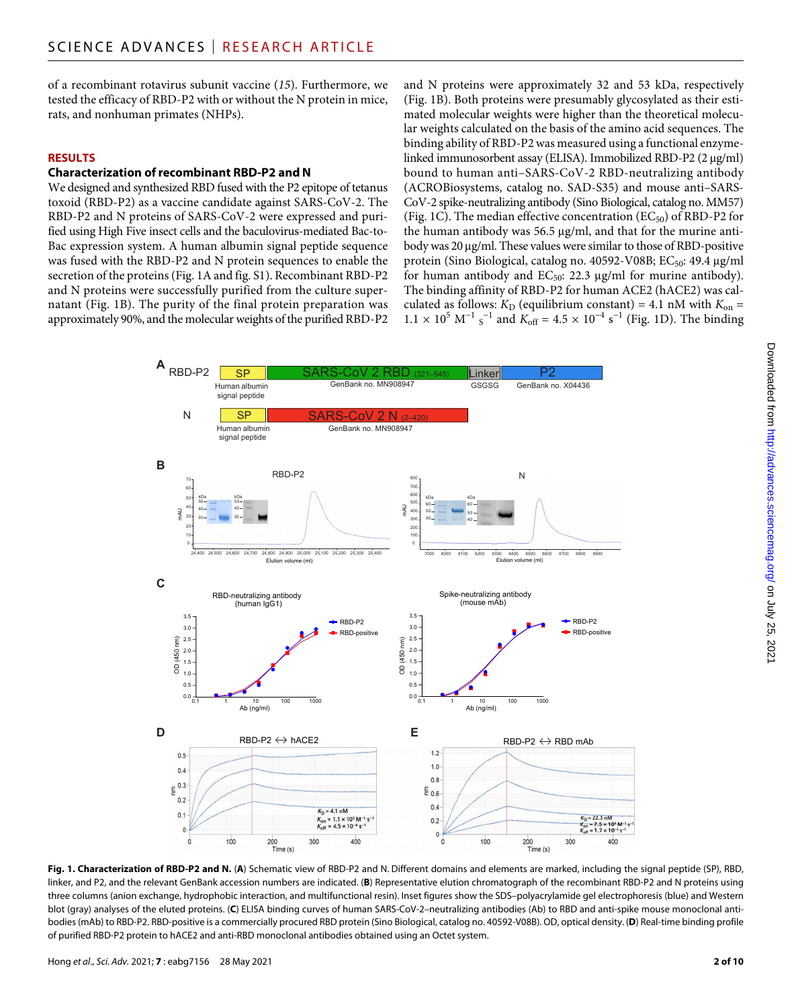of a recombinant rotavirus subunit vaccine (*15*). Furthermore, we tested the efficacy of RBD-P2 with or without the N protein in mice, rats, and nonhuman primates (NHPs).

#### **RESULTS**

# **Characterization ofrecombinant RBD-P2 andN**

We designed and synthesized RBD fused with the P2 epitope of tetanus toxoid (RBD-P2) as a vaccine candidate against SARS-CoV-2. The RBD-P2 and N proteins of SARS-CoV-2 were expressed and purified using High Five insect cells and the baculovirus-mediated Bac-to-Bac expression system. A human albumin signal peptide sequence was fused with the RBD-P2 and N protein sequences to enable the secretion of the proteins (Fig. 1A and fig. S1). Recombinant RBD-P2 and N proteins were successfully purified from the culture supernatant (Fig. 1B). The purity of the final protein preparation was approximately 90%, and the molecular weights of the purified RBD-P2 and N proteins were approximately 32 and 53 kDa, respectively (Fig. 1B). Both proteins were presumably glycosylated as their estimated molecular weights were higher than the theoretical molecular weights calculated on the basis of the amino acid sequences. The binding ability of RBD-P2 was measured using a functional enzymelinked immunosorbent assay (ELISA). Immobilized RBD-P2 (2 µg/ml) bound to human anti–SARS-CoV-2 RBD-neutralizing antibody (ACROBiosystems, catalog no. SAD-S35) and mouse anti–SARS-CoV-2 spike-neutralizing antibody (Sino Biological, catalog no. MM57) (Fig. 1C). The median effective concentration ( $EC_{50}$ ) of RBD-P2 for the human antibody was  $56.5 \mu g/ml$ , and that for the murine antibody was 20 µg/ml. These values were similar to those of RBD-positive protein (Sino Biological, catalog no. 40592-V08B;  $EC_{50}$ : 49.4  $\mu$ g/ml for human antibody and  $EC_{50}$ : 22.3 µg/ml for murine antibody). The binding affinity of RBD-P2 for human ACE2 (hACE2) was calculated as follows:  $K_{\text{D}}$  (equilibrium constant) = 4.1 nM with  $K_{\text{on}}$  =  $1.1 \times 10^5$  M<sup>-1</sup> s<sup>-1</sup> and  $K_{\text{off}} = 4.5 \times 10^{-4}$  s<sup>-1</sup> (Fig. 1D). The binding



**Fig. 1. Characterization of RBD-P2 and N.** (**A**) Schematic view of RBD-P2 and N. Different domains and elements are marked, including the signal peptide (SP), RBD, linker, and P2, and the relevant GenBank accession numbers are indicated. (**B**) Representative elution chromatograph of the recombinant RBD-P2 and N proteins using three columns (anion exchange, hydrophobic interaction, and multifunctional resin). Inset figures show the SDS–polyacrylamide gel electrophoresis (blue) and Western blot (gray) analyses of the eluted proteins. (**C**) ELISA binding curves of human SARS-CoV-2–neutralizing antibodies (Ab) to RBD and anti-spike mouse monoclonal antibodies (mAb) to RBD-P2. RBD-positive is a commercially procured RBD protein (Sino Biological, catalog no. 40592-V08B). OD, optical density. (**D**) Real-time binding profile of purified RBD-P2 protein to hACE2 and anti-RBD monoclonal antibodies obtained using an Octet system.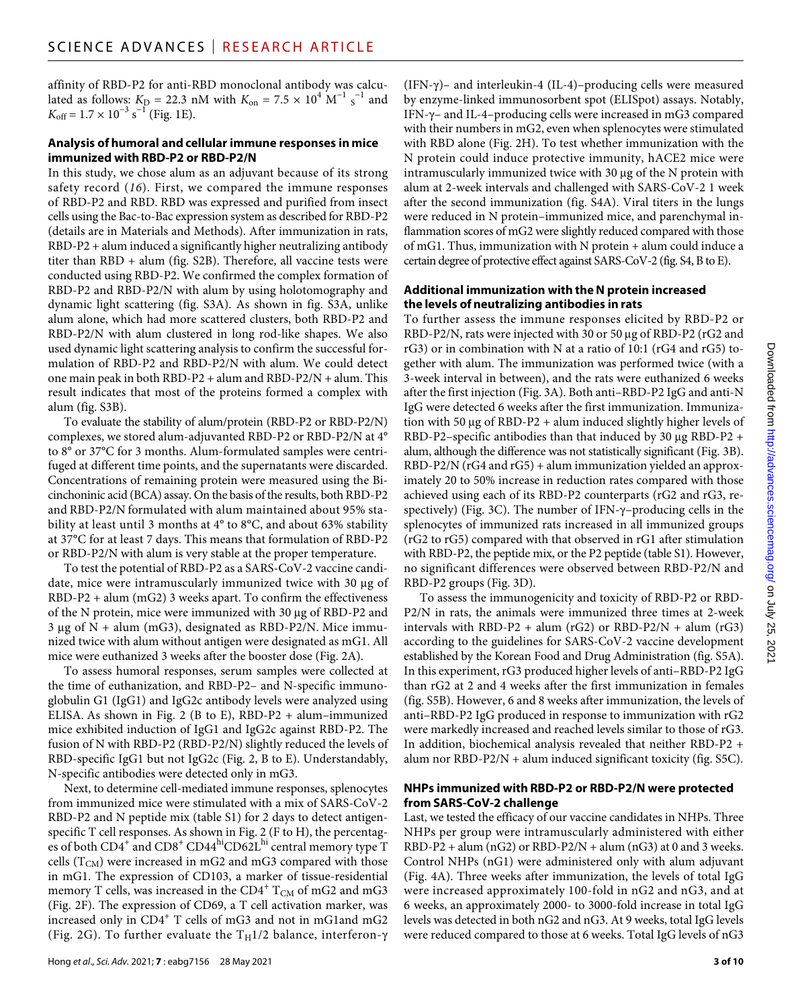affinity of RBD-P2 for anti-RBD monoclonal antibody was calculated as follows:  $K_{\text{D}} = 22.3 \text{ nM}$  with  $K_{\text{on}} = 7.5 \times 10^4 \text{ M}^{-1} \text{ s}^{-1}$  and  $K_{\text{off}} = 1.7 \times 10^{-3} \text{ s}^{-1}$  (Fig. 1E).

#### **Analysis of humoral and cellular immune responses in mice immunized with RBD-P2 or RBD-P2/N**

In this study, we chose alum as an adjuvant because of its strong safety record (*16*). First, we compared the immune responses of RBD-P2 and RBD. RBD was expressed and purified from insect cells using the Bac-to-Bac expression system as described for RBD-P2 (details are in Materials and Methods). After immunization in rats, RBD-P2 + alum induced a significantly higher neutralizing antibody titer than RBD + alum (fig. S2B). Therefore, all vaccine tests were conducted using RBD-P2. We confirmed the complex formation of RBD-P2 and RBD-P2/N with alum by using holotomography and dynamic light scattering (fig. S3A). As shown in fig. S3A, unlike alum alone, which had more scattered clusters, both RBD-P2 and RBD-P2/N with alum clustered in long rod-like shapes. We also used dynamic light scattering analysis to confirm the successful formulation of RBD-P2 and RBD-P2/N with alum. We could detect one main peak in both RBD-P2 + alum and RBD-P2/N + alum. This result indicates that most of the proteins formed a complex with alum (fig. S3B).

To evaluate the stability of alum/protein (RBD-P2 or RBD-P2/N) complexes, we stored alum-adjuvanted RBD-P2 or RBD-P2/N at 4° to 8° or 37°C for 3 months. Alum-formulated samples were centrifuged at different time points, and the supernatants were discarded. Concentrations of remaining protein were measured using the Bicinchoninic acid (BCA) assay. On the basis of the results, both RBD-P2 and RBD-P2/N formulated with alum maintained about 95% stability at least until 3 months at 4° to 8°C, and about 63% stability at 37°C for at least 7 days. This means that formulation of RBD-P2 or RBD-P2/N with alum is very stable at the proper temperature.

To test the potential of RBD-P2 as a SARS-CoV-2 vaccine candidate, mice were intramuscularly immunized twice with  $30 \mu$ g of RBD-P2 + alum (mG2) 3 weeks apart. To confirm the effectiveness of the N protein, mice were immunized with 30 µg of RBD-P2 and  $3 \mu$ g of N + alum (mG3), designated as RBD-P2/N. Mice immunized twice with alum without antigen were designated as mG1. All mice were euthanized 3 weeks after the booster dose (Fig. 2A).

To assess humoral responses, serum samples were collected at the time of euthanization, and RBD-P2– and N-specific immunoglobulin G1 (IgG1) and IgG2c antibody levels were analyzed using ELISA. As shown in Fig. 2 (B to E), RBD-P2 + alum–immunized mice exhibited induction of IgG1 and IgG2c against RBD-P2. The fusion of N with RBD-P2 (RBD-P2/N) slightly reduced the levels of RBD-specific IgG1 but not IgG2c (Fig. 2, B to E). Understandably, N-specific antibodies were detected only in mG3.

Next, to determine cell-mediated immune responses, splenocytes from immunized mice were stimulated with a mix of SARS-CoV-2 RBD-P2 and N peptide mix (table S1) for 2 days to detect antigenspecific T cell responses. As shown in Fig. 2 (F to H), the percentages of both CD4<sup>+</sup> and CD8<sup>+</sup> CD44<sup>hi</sup>CD62L<sup>hi</sup> central memory type T cells  $(T_{CM})$  were increased in mG2 and mG3 compared with those in mG1. The expression of CD103, a marker of tissue-residential memory T cells, was increased in the  $\rm CD4^+$   $\rm T_{\rm CM}$  of mG2 and mG3 (Fig. 2F). The expression of CD69, a T cell activation marker, was increased only in CD4<sup>+</sup> T cells of mG3 and not in mG1and mG2 (Fig. 2G). To further evaluate the  $T_H1/2$  balance, interferon- $\gamma$ 

 $(IFN-\gamma)$ – and interleukin-4  $(IL-4)$ –producing cells were measured by enzyme-linked immunosorbent spot (ELISpot) assays. Notably, IFN- $\gamma$ – and IL-4–producing cells were increased in mG3 compared with their numbers in mG2, even when splenocytes were stimulated with RBD alone (Fig. 2H). To test whether immunization with the N protein could induce protective immunity, hACE2 mice were intramuscularly immunized twice with 30  $\mu$ g of the N protein with alum at 2-week intervals and challenged with SARS-CoV-2 1 week after the second immunization (fig. S4A). Viral titers in the lungs were reduced in N protein–immunized mice, and parenchymal inflammation scores of mG2 were slightly reduced compared with those of mG1. Thus, immunization with N protein + alum could induce a certain degree of protective effect against SARS-CoV-2 (fig. S4, B to E).

# **Additional immunization with theN protein increased the levels of neutralizing antibodies in rats**

To further assess the immune responses elicited by RBD-P2 or RBD-P2/N, rats were injected with 30 or 50 µg of RBD-P2 (rG2 and rG3) or in combination with N at a ratio of 10:1 (rG4 and rG5) together with alum. The immunization was performed twice (with a 3-week interval in between), and the rats were euthanized 6 weeks after the first injection (Fig. 3A). Both anti–RBD-P2 IgG and anti-N IgG were detected 6 weeks after the first immunization. Immunization with 50  $\mu$ g of RBD-P2 + alum induced slightly higher levels of RBD-P2–specific antibodies than that induced by 30  $\mu$ g RBD-P2 + alum, although the difference was not statistically significant (Fig. 3B). RBD-P2/N (rG4 and rG5) + alum immunization yielded an approximately 20 to 50% increase in reduction rates compared with those achieved using each of its RBD-P2 counterparts (rG2 and rG3, respectively) (Fig. 3C). The number of IFN- $\gamma$ –producing cells in the splenocytes of immunized rats increased in all immunized groups (rG2 to rG5) compared with that observed in rG1 after stimulation with RBD-P2, the peptide mix, or the P2 peptide (table S1). However, no significant differences were observed between RBD-P2/N and RBD-P2 groups (Fig. 3D).

To assess the immunogenicity and toxicity of RBD-P2 or RBD-P2/N in rats, the animals were immunized three times at 2-week intervals with RBD-P2 + alum (rG2) or RBD-P2/N + alum (rG3) according to the guidelines for SARS-CoV-2 vaccine development established by the Korean Food and Drug Administration (fig. S5A). In this experiment, rG3 produced higher levels of anti–RBD-P2 IgG than rG2 at 2 and 4 weeks after the first immunization in females (fig. S5B). However, 6 and 8 weeks after immunization, the levels of anti–RBD-P2 IgG produced in response to immunization with rG2 were markedly increased and reached levels similar to those of rG3. In addition, biochemical analysis revealed that neither RBD-P2 + alum nor RBD-P2/N + alum induced significant toxicity (fig. S5C).

# **NHPs immunized with RBD-P2 or RBD-P2/N were protected from SARS-CoV-2 challenge**

Last, we tested the efficacy of our vaccine candidates in NHPs. Three NHPs per group were intramuscularly administered with either  $RBD-P2 + alum (nG2)$  or  $RBD-P2/N + alum (nG3)$  at 0 and 3 weeks. Control NHPs (nG1) were administered only with alum adjuvant (Fig. 4A). Three weeks after immunization, the levels of total IgG were increased approximately 100-fold in nG2 and nG3, and at 6 weeks, an approximately 2000- to 3000-fold increase in total IgG levels was detected in both nG2 and nG3. At 9 weeks, total IgG levels were reduced compared to those at 6 weeks. Total IgG levels of nG3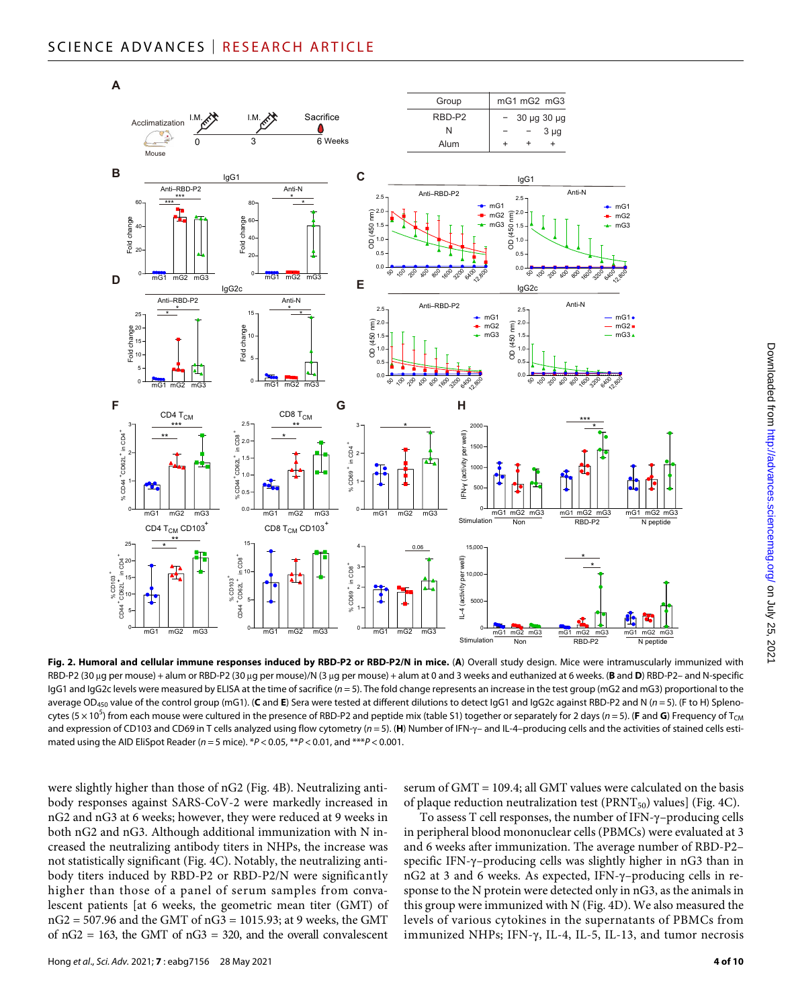

**Fig. 2. Humoral and cellular immune responses induced by RBD-P2 or RBD-P2/N in mice.** (**A**) Overall study design. Mice were intramuscularly immunized with RBD-P2 (30 µg per mouse) + alum or RBD-P2 (30 µg per mouse)/N (3 µg per mouse) + alum at 0 and 3 weeks and euthanized at 6 weeks. (**B** and **D**) RBD-P2- and N-specific IgG1 and IgG2c levels were measured by ELISA at the time of sacrifice (*n* = 5). The fold change represents an increase in the test group (mG2 and mG3) proportional to the average OD<sub>450</sub> value of the control group (mG1). (C and E) Sera were tested at different dilutions to detect IgG1 and IgG2c against RBD-P2 and N (n = 5). (F to H) Splenocytes (5 × 10<sup>5</sup>) from each mouse were cultured in the presence of RBD-P2 and peptide mix (table S1) together or separately for 2 days (*n* = 5). (**F** and **G**) Frequency of T<sub>CM</sub> and expression of CD103 and CD69 in T cells analyzed using flow cytometry ( $n = 5$ ). (H) Number of IFN- $\gamma$  and IL-4-producing cells and the activities of stained cells estimated using the AID EliSpot Reader (*n* = 5 mice). \**P* < 0.05, \*\**P* < 0.01, and \*\*\**P* < 0.001.

were slightly higher than those of nG2 (Fig. 4B). Neutralizing antibody responses against SARS-CoV-2 were markedly increased in nG2 and nG3 at 6 weeks; however, they were reduced at 9 weeks in both nG2 and nG3. Although additional immunization with N increased the neutralizing antibody titers in NHPs, the increase was not statistically significant (Fig. 4C). Notably, the neutralizing antibody titers induced by RBD-P2 or RBD-P2/N were significantly higher than those of a panel of serum samples from convalescent patients [at 6 weeks, the geometric mean titer (GMT) of nG2 = 507.96 and the GMT of nG3 = 1015.93; at 9 weeks, the GMT of  $nG2 = 163$ , the GMT of  $nG3 = 320$ , and the overall convalescent

serum of GMT = 109.4; all GMT values were calculated on the basis of plaque reduction neutralization test ( $PRNT_{50}$ ) values] (Fig. 4C).

To assess  $T$  cell responses, the number of IFN- $\gamma$ –producing cells in peripheral blood mononuclear cells (PBMCs) were evaluated at 3 and 6 weeks after immunization. The average number of RBD-P2– specific IFN- $\gamma$ -producing cells was slightly higher in nG3 than in nG2 at 3 and 6 weeks. As expected, IFN- $\gamma$ -producing cells in response to the N protein were detected only in nG3, as the animals in this group were immunized with N (Fig. 4D). We also measured the levels of various cytokines in the supernatants of PBMCs from immunized NHPs; IFN- $\gamma$ , IL-4, IL-5, IL-13, and tumor necrosis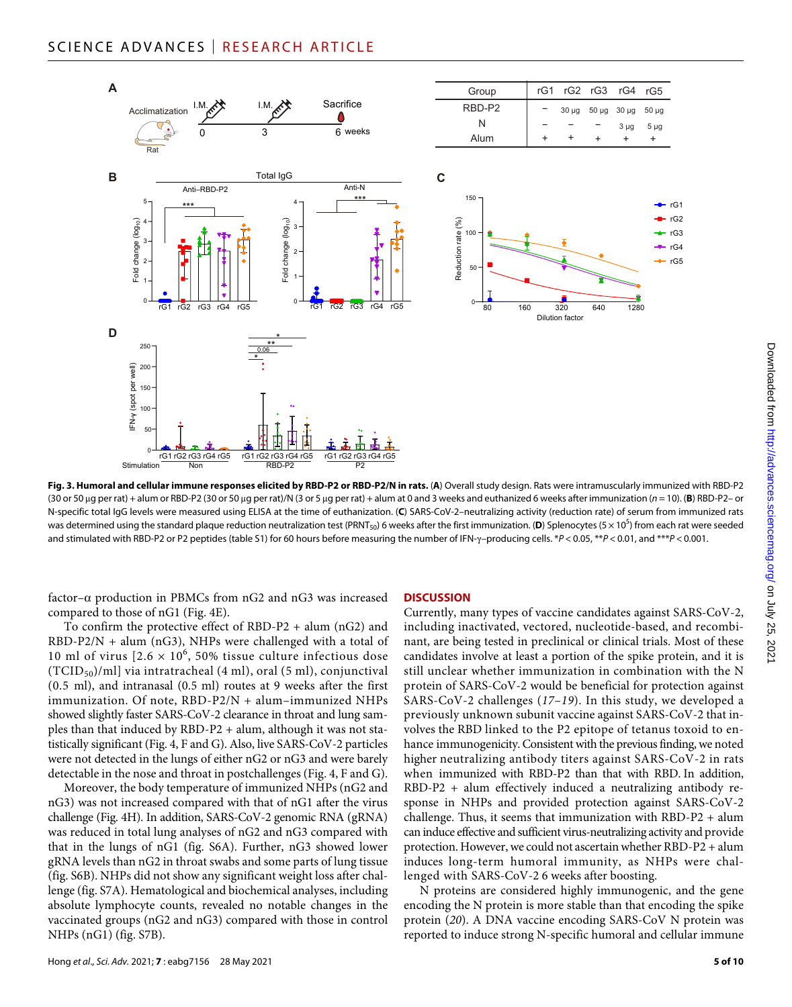

**Fig. 3. Humoral and cellular immune responses elicited by RBD-P2 or RBD-P2/N in rats.** (**A**) Overall study design. Rats were intramuscularly immunized with RBD-P2 (30 or 50 g per rat) + alum or RBD-P2 (30 or 50 g per rat)/N (3 or 5 g per rat) + alum at 0 and 3 weeks and euthanized 6 weeks after immunization (*n* = 10). (**B**) RBD-P2– or N-specific total IgG levels were measured using ELISA at the time of euthanization. (**C**) SARS-CoV-2–neutralizing activity (reduction rate) of serum from immunized rats was determined using the standard plaque reduction neutralization test (PRNT<sub>50</sub>) 6 weeks after the first immunization. (**D**) Splenocytes (5 × 10<sup>5</sup>) from each rat were seeded and stimulated with RBD-P2 or P2 peptides (table S1) for 60 hours before measuring the number of IFN- $\gamma$ -producing cells. \**P* < 0.05, \*\**P* < 0.01, and \*\*\**P* < 0.001.

factor– $\alpha$  production in PBMCs from nG2 and nG3 was increased compared to those of nG1 (Fig. 4E).

To confirm the protective effect of RBD-P2 + alum (nG2) and RBD-P2/N + alum (nG3), NHPs were challenged with a total of 10 ml of virus  $[2.6 \times 10^6, 50\%$  tissue culture infectious dose  $(TCID<sub>50</sub>)/ml$ ] via intratracheal (4 ml), oral (5 ml), conjunctival (0.5 ml), and intranasal (0.5 ml) routes at 9 weeks after the first immunization. Of note, RBD-P2/N + alum–immunized NHPs showed slightly faster SARS-CoV-2 clearance in throat and lung samples than that induced by RBD-P2 + alum, although it was not statistically significant (Fig. 4, F and G). Also, live SARS-CoV-2 particles were not detected in the lungs of either nG2 or nG3 and were barely detectable in the nose and throat in postchallenges (Fig. 4, F and G).

Moreover, the body temperature of immunized NHPs (nG2 and nG3) was not increased compared with that of nG1 after the virus challenge (Fig. 4H). In addition, SARS-CoV-2 genomic RNA (gRNA) was reduced in total lung analyses of nG2 and nG3 compared with that in the lungs of nG1 (fig. S6A). Further, nG3 showed lower gRNA levels than nG2 in throat swabs and some parts of lung tissue (fig. S6B). NHPs did not show any significant weight loss after challenge (fig. S7A). Hematological and biochemical analyses, including absolute lymphocyte counts, revealed no notable changes in the vaccinated groups (nG2 and nG3) compared with those in control NHPs (nG1) (fig. S7B).

#### **DISCUSSION**

Currently, many types of vaccine candidates against SARS-CoV-2, including inactivated, vectored, nucleotide-based, and recombinant, are being tested in preclinical or clinical trials. Most of these candidates involve at least a portion of the spike protein, and it is still unclear whether immunization in combination with the N protein of SARS-CoV-2 would be beneficial for protection against SARS-CoV-2 challenges (*17*–*19*). In this study, we developed a previously unknown subunit vaccine against SARS-CoV-2 that involves the RBD linked to the P2 epitope of tetanus toxoid to enhance immunogenicity. Consistent with the previous finding, we noted higher neutralizing antibody titers against SARS-CoV-2 in rats when immunized with RBD-P2 than that with RBD. In addition, RBD-P2 + alum effectively induced a neutralizing antibody response in NHPs and provided protection against SARS-CoV-2 challenge. Thus, it seems that immunization with RBD-P2 + alum can induce effective and sufficient virus-neutralizing activity and provide protection. However, we could not ascertain whether RBD-P2 + alum induces long-term humoral immunity, as NHPs were challenged with SARS-CoV-2 6 weeks after boosting.

N proteins are considered highly immunogenic, and the gene encoding the N protein is more stable than that encoding the spike protein (*20*). A DNA vaccine encoding SARS-CoV N protein was reported to induce strong N-specific humoral and cellular immune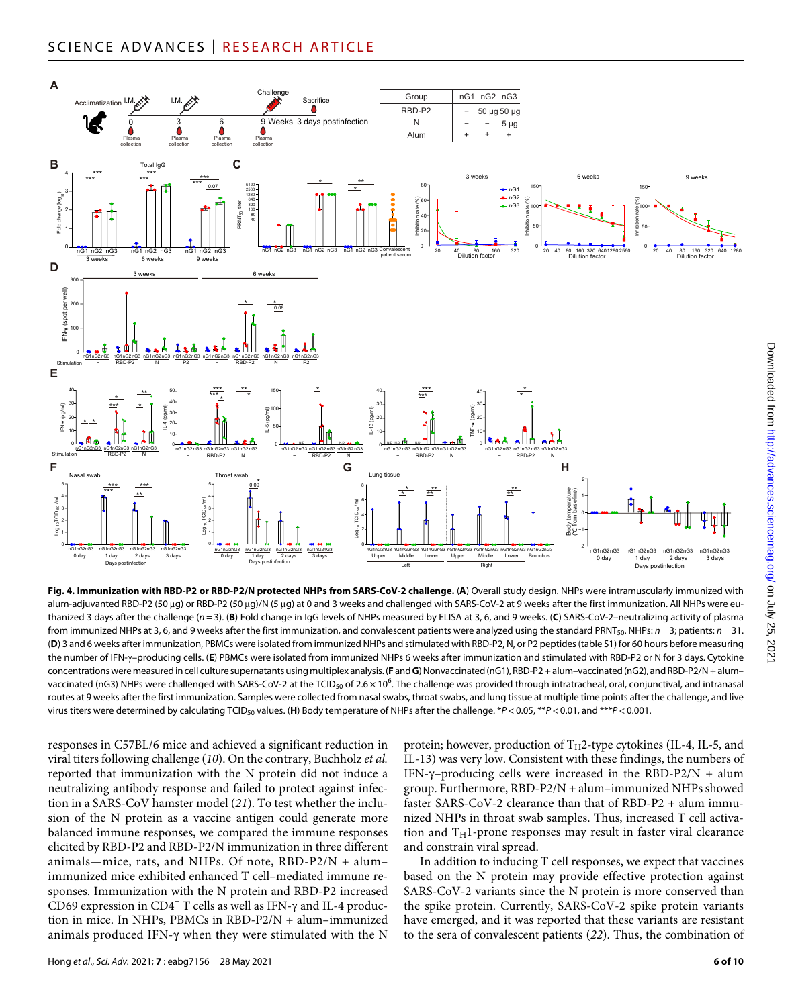

**Fig. 4. Immunization with RBD-P2 or RBD-P2/N protected NHPs from SARS-CoV-2 challenge.** (**A**) Overall study design. NHPs were intramuscularly immunized with alum-adjuvanted RBD-P2 (50 µg) or RBD-P2 (50 µg)/N (5 µg) at 0 and 3 weeks and challenged with SARS-CoV-2 at 9 weeks after the first immunization. All NHPs were euthanized 3 days after the challenge (*n* = 3). (**B**) Fold change in IgG levels of NHPs measured by ELISA at 3, 6, and 9 weeks. (**C**) SARS-CoV-2–neutralizing activity of plasma from immunized NHPs at 3, 6, and 9 weeks after the first immunization, and convalescent patients were analyzed using the standard PRNT<sub>50</sub>. NHPs:  $n = 3$ ; patients:  $n = 31$ . (**D**) 3 and 6 weeks after immunization, PBMCs were isolated from immunized NHPs and stimulated with RBD-P2, N, or P2 peptides (table S1) for 60 hours before measuring the number of IFN-–producing cells. (**E**) PBMCs were isolated from immunized NHPs 6 weeks after immunization and stimulated with RBD-P2 or N for 3 days. Cytokine concentrations were measured in cell culture supernatants using multiplex analysis. (**F** and **G**) Nonvaccinated (nG1), RBD-P2 + alum–vaccinated (nG2), and RBD-P2/N + alum– vaccinated (nG3) NHPs were challenged with SARS-CoV-2 at the TCID<sub>50</sub> of 2.6 $\times$ 10<sup>6</sup>. The challenge was provided through intratracheal, oral, conjunctival, and intranasal routes at 9 weeks after the first immunization. Samples were collected from nasal swabs, throat swabs, and lung tissue at multiple time points after the challenge, and live virus titers were determined by calculating TCID50 values. (**H**) Body temperature of NHPs after the challenge. \**P* < 0.05, \*\**P* < 0.01, and \*\*\**P* < 0.001.

responses in C57BL/6 mice and achieved a significant reduction in viral titers following challenge (*10*). On the contrary, Buchholz *et al.* reported that immunization with the N protein did not induce a neutralizing antibody response and failed to protect against infection in a SARS-CoV hamster model (*21*). To test whether the inclusion of the N protein as a vaccine antigen could generate more balanced immune responses, we compared the immune responses elicited by RBD-P2 and RBD-P2/N immunization in three different animals—mice, rats, and NHPs. Of note,  $RBD-P2/N + alum$ immunized mice exhibited enhanced T cell–mediated immune responses. Immunization with the N protein and RBD-P2 increased CD69 expression in CD4<sup>+</sup> T cells as well as IFN- $\gamma$  and IL-4 production in mice. In NHPs, PBMCs in RBD-P2/N + alum–immunized animals produced IFN- $\gamma$  when they were stimulated with the N

protein; however, production of  $T_H2$ -type cytokines (IL-4, IL-5, and IL-13) was very low. Consistent with these findings, the numbers of IFN- $\gamma$ –producing cells were increased in the RBD-P2/N + alum group. Furthermore, RBD-P2/N + alum–immunized NHPs showed faster SARS-CoV-2 clearance than that of RBD-P2 + alum immunized NHPs in throat swab samples. Thus, increased T cell activation and  $T_H1$ -prone responses may result in faster viral clearance and constrain viral spread.

In addition to inducing T cell responses, we expect that vaccines based on the N protein may provide effective protection against SARS-CoV-2 variants since the N protein is more conserved than the spike protein. Currently, SARS-CoV-2 spike protein variants have emerged, and it was reported that these variants are resistant to the sera of convalescent patients (*22*). Thus, the combination of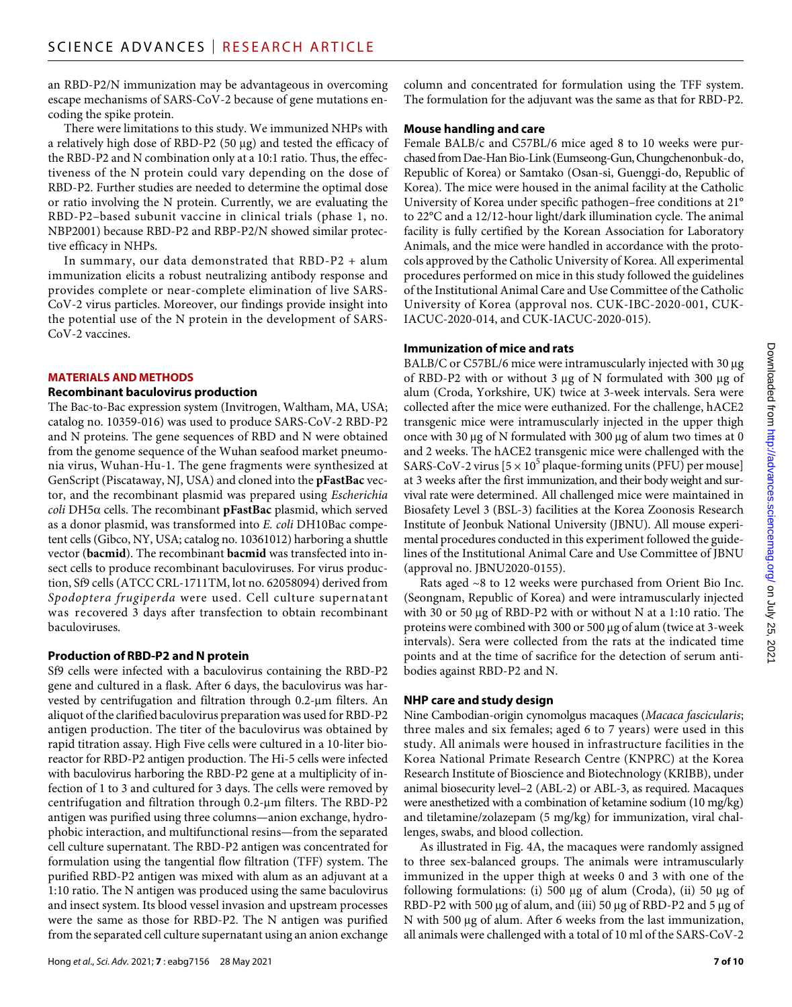an RBD-P2/N immunization may be advantageous in overcoming escape mechanisms of SARS-CoV-2 because of gene mutations encoding the spike protein.

There were limitations to this study. We immunized NHPs with a relatively high dose of RBD-P2 (50 µg) and tested the efficacy of the RBD-P2 and N combination only at a 10:1 ratio. Thus, the effectiveness of the N protein could vary depending on the dose of RBD-P2. Further studies are needed to determine the optimal dose or ratio involving the N protein. Currently, we are evaluating the RBD-P2–based subunit vaccine in clinical trials (phase 1, no. NBP2001) because RBD-P2 and RBP-P2/N showed similar protective efficacy in NHPs.

In summary, our data demonstrated that RBD-P2 + alum immunization elicits a robust neutralizing antibody response and provides complete or near-complete elimination of live SARS-CoV-2 virus particles. Moreover, our findings provide insight into the potential use of the N protein in the development of SARS-CoV-2 vaccines.

#### **MATERIALS AND METHODS**

#### **Recombinant baculovirus production**

The Bac-to-Bac expression system (Invitrogen, Waltham, MA, USA; catalog no. 10359-016) was used to produce SARS-CoV-2 RBD-P2 and N proteins. The gene sequences of RBD and N were obtained from the genome sequence of the Wuhan seafood market pneumonia virus, Wuhan-Hu-1. The gene fragments were synthesized at GenScript (Piscataway, NJ, USA) and cloned into the **pFastBac** vector, and the recombinant plasmid was prepared using *Escherichia*   $\text{coll}$  DH5 $\alpha$  cells. The recombinant **pFastBac** plasmid, which served as a donor plasmid, was transformed into *E. coli* DH10Bac competent cells (Gibco, NY, USA; catalog no. 10361012) harboring a shuttle vector (**bacmid**). The recombinant **bacmid** was transfected into insect cells to produce recombinant baculoviruses. For virus production, Sf9 cells (ATCC CRL-1711TM, lot no. 62058094) derived from *Spodoptera frugiperda* were used. Cell culture supernatant was recovered 3 days after transfection to obtain recombinant baculoviruses.

# **Production of RBD-P2 and N protein**

Sf9 cells were infected with a baculovirus containing the RBD-P2 gene and cultured in a flask. After 6 days, the baculovirus was harvested by centrifugation and filtration through 0.2-µm filters. An aliquot of the clarified baculovirus preparation was used for RBD-P2 antigen production. The titer of the baculovirus was obtained by rapid titration assay. High Five cells were cultured in a 10-liter bioreactor for RBD-P2 antigen production. The Hi-5 cells were infected with baculovirus harboring the RBD-P2 gene at a multiplicity of infection of 1 to 3 and cultured for 3 days. The cells were removed by centrifugation and filtration through 0.2-um filters. The RBD-P2 antigen was purified using three columns—anion exchange, hydrophobic interaction, and multifunctional resins—from the separated cell culture supernatant. The RBD-P2 antigen was concentrated for formulation using the tangential flow filtration (TFF) system. The purified RBD-P2 antigen was mixed with alum as an adjuvant at a 1:10 ratio. The N antigen was produced using the same baculovirus and insect system. Its blood vessel invasion and upstream processes were the same as those for RBD-P2. The N antigen was purified from the separated cell culture supernatant using an anion exchange

column and concentrated for formulation using the TFF system. The formulation for the adjuvant was the same as that for RBD-P2.

#### **Mouse handling and care**

Female BALB/c and C57BL/6 mice aged 8 to 10 weeks were purchased from Dae-Han Bio-Link (Eumseong-Gun, Chungchenonbuk-do, Republic of Korea) or Samtako (Osan-si, Guenggi-do, Republic of Korea). The mice were housed in the animal facility at the Catholic University of Korea under specific pathogen–free conditions at 21° to 22°C and a 12/12-hour light/dark illumination cycle. The animal facility is fully certified by the Korean Association for Laboratory Animals, and the mice were handled in accordance with the protocols approved by the Catholic University of Korea. All experimental procedures performed on mice in this study followed the guidelines of the Institutional Animal Care and Use Committee of the Catholic University of Korea (approval nos. CUK-IBC-2020-001, CUK-IACUC-2020-014, and CUK-IACUC-2020-015).

#### **Immunization of mice and rats**

BALB/C or C57BL/6 mice were intramuscularly injected with 30 µg of RBD-P2 with or without  $3 \mu$ g of N formulated with  $300 \mu$ g of alum (Croda, Yorkshire, UK) twice at 3-week intervals. Sera were collected after the mice were euthanized. For the challenge, hACE2 transgenic mice were intramuscularly injected in the upper thigh once with 30  $\mu$ g of N formulated with 300  $\mu$ g of alum two times at 0 and 2 weeks. The hACE2 transgenic mice were challenged with the SARS-CoV-2 virus  $[5 \times 10^5$  plaque-forming units (PFU) per mouse] at 3 weeks after the first immunization, and their body weight and survival rate were determined. All challenged mice were maintained in Biosafety Level 3 (BSL-3) facilities at the Korea Zoonosis Research Institute of Jeonbuk National University (JBNU). All mouse experimental procedures conducted in this experiment followed the guidelines of the Institutional Animal Care and Use Committee of JBNU (approval no. JBNU2020-0155).

Rats aged ~8 to 12 weeks were purchased from Orient Bio Inc. (Seongnam, Republic of Korea) and were intramuscularly injected with 30 or 50  $\mu$ g of RBD-P2 with or without N at a 1:10 ratio. The proteins were combined with 300 or 500 µg of alum (twice at 3-week intervals). Sera were collected from the rats at the indicated time points and at the time of sacrifice for the detection of serum antibodies against RBD-P2 and N.

# **NHP care and study design**

Nine Cambodian-origin cynomolgus macaques (*Macaca fascicularis*; three males and six females; aged 6 to 7 years) were used in this study. All animals were housed in infrastructure facilities in the Korea National Primate Research Centre (KNPRC) at the Korea Research Institute of Bioscience and Biotechnology (KRIBB), under animal biosecurity level–2 (ABL-2) or ABL-3, as required. Macaques were anesthetized with a combination of ketamine sodium (10 mg/kg) and tiletamine/zolazepam (5 mg/kg) for immunization, viral challenges, swabs, and blood collection.

As illustrated in Fig. 4A, the macaques were randomly assigned to three sex-balanced groups. The animals were intramuscularly immunized in the upper thigh at weeks 0 and 3 with one of the following formulations: (i) 500  $\mu$ g of alum (Croda), (ii) 50  $\mu$ g of RBD-P2 with 500  $\mu$ g of alum, and (iii) 50  $\mu$ g of RBD-P2 and 5  $\mu$ g of N with 500 µg of alum. After 6 weeks from the last immunization, all animals were challenged with a total of 10 ml of the SARS-CoV-2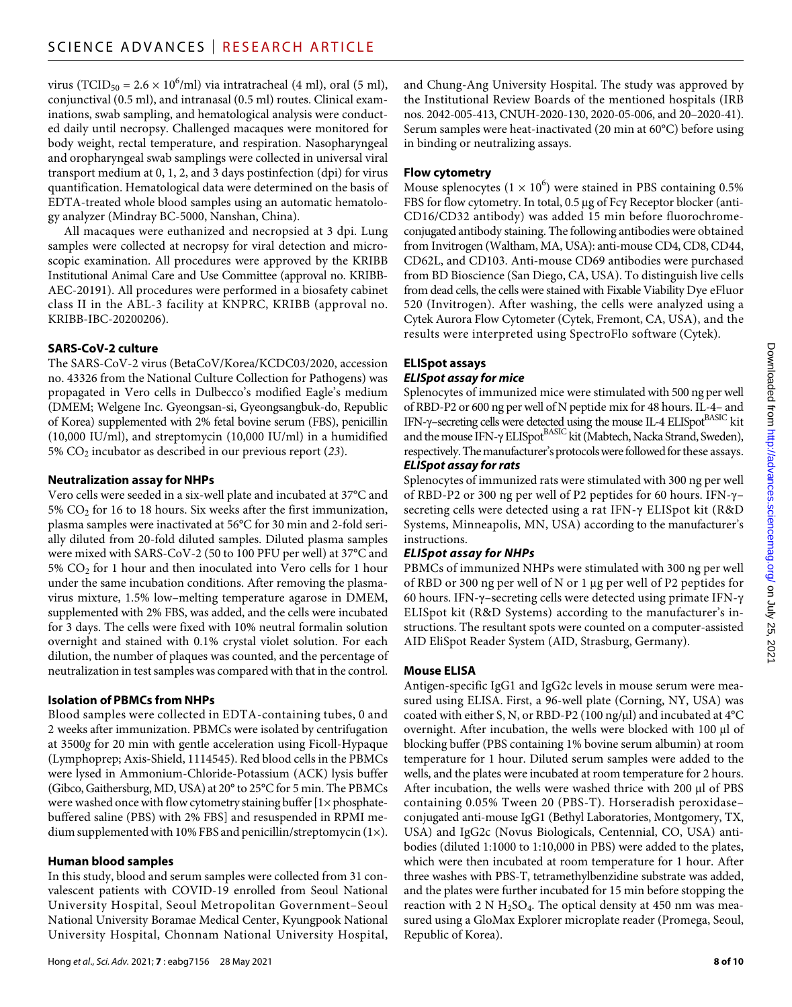virus (TCID<sub>50</sub> = 2.6  $\times$  10<sup>6</sup>/ml) via intratracheal (4 ml), oral (5 ml), conjunctival (0.5 ml), and intranasal (0.5 ml) routes. Clinical examinations, swab sampling, and hematological analysis were conducted daily until necropsy. Challenged macaques were monitored for body weight, rectal temperature, and respiration. Nasopharyngeal and oropharyngeal swab samplings were collected in universal viral transport medium at 0, 1, 2, and 3 days postinfection (dpi) for virus quantification. Hematological data were determined on the basis of EDTA-treated whole blood samples using an automatic hematology analyzer (Mindray BC-5000, Nanshan, China).

All macaques were euthanized and necropsied at 3 dpi. Lung samples were collected at necropsy for viral detection and microscopic examination. All procedures were approved by the KRIBB Institutional Animal Care and Use Committee (approval no. KRIBB-AEC-20191). All procedures were performed in a biosafety cabinet class II in the ABL-3 facility at KNPRC, KRIBB (approval no. KRIBB-IBC-20200206).

# **SARS-CoV-2 culture**

The SARS-CoV-2 virus (BetaCoV/Korea/KCDC03/2020, accession no. 43326 from the National Culture Collection for Pathogens) was propagated in Vero cells in Dulbecco's modified Eagle's medium (DMEM; Welgene Inc. Gyeongsan-si, Gyeongsangbuk-do, Republic of Korea) supplemented with 2% fetal bovine serum (FBS), penicillin (10,000 IU/ml), and streptomycin (10,000 IU/ml) in a humidified 5% CO2 incubator as described in our previous report (*23*).

# **Neutralization assay forNHPs**

Vero cells were seeded in a six-well plate and incubated at 37°C and  $5\%$  CO<sub>2</sub> for 16 to 18 hours. Six weeks after the first immunization, plasma samples were inactivated at 56°C for 30 min and 2-fold serially diluted from 20-fold diluted samples. Diluted plasma samples were mixed with SARS-CoV-2 (50 to 100 PFU per well) at 37°C and  $5\%$  CO<sub>2</sub> for 1 hour and then inoculated into Vero cells for 1 hour under the same incubation conditions. After removing the plasmavirus mixture, 1.5% low–melting temperature agarose in DMEM, supplemented with 2% FBS, was added, and the cells were incubated for 3 days. The cells were fixed with 10% neutral formalin solution overnight and stained with 0.1% crystal violet solution. For each dilution, the number of plaques was counted, and the percentage of neutralization in test samples was compared with that in the control.

# **Isolation of PBMCs from NHPs**

Blood samples were collected in EDTA-containing tubes, 0 and 2 weeks after immunization. PBMCs were isolated by centrifugation at 3500*g* for 20 min with gentle acceleration using Ficoll-Hypaque (Lymphoprep; Axis-Shield, 1114545). Red blood cells in the PBMCs were lysed in Ammonium-Chloride-Potassium (ACK) lysis buffer (Gibco, Gaithersburg, MD, USA) at 20° to 25°C for 5 min. The PBMCs were washed once with flow cytometry staining buffer [1× phosphatebuffered saline (PBS) with 2% FBS] and resuspended in RPMI medium supplemented with 10% FBS and penicillin/streptomycin (1×).

# **Human blood samples**

In this study, blood and serum samples were collected from 31 convalescent patients with COVID-19 enrolled from Seoul National University Hospital, Seoul Metropolitan Government–Seoul National University Boramae Medical Center, Kyungpook National University Hospital, Chonnam National University Hospital, and Chung-Ang University Hospital. The study was approved by the Institutional Review Boards of the mentioned hospitals (IRB nos. 2042-005-413, CNUH-2020-130, 2020-05-006, and 20–2020-41). Serum samples were heat-inactivated (20 min at 60°C) before using in binding or neutralizing assays.

# **Flow cytometry**

Mouse splenocytes ( $1 \times 10^6$ ) were stained in PBS containing 0.5% FBS for flow cytometry. In total, 0.5 µg of Fcy Receptor blocker (anti-CD16/CD32 antibody) was added 15 min before fluorochromeconjugated antibody staining. The following antibodies were obtained from Invitrogen (Waltham, MA, USA): anti-mouse CD4, CD8, CD44, CD62L, and CD103. Anti-mouse CD69 antibodies were purchased from BD Bioscience (San Diego, CA, USA). To distinguish live cells from dead cells, the cells were stained with Fixable Viability Dye eFluor 520 (Invitrogen). After washing, the cells were analyzed using a Cytek Aurora Flow Cytometer (Cytek, Fremont, CA, USA), and the results were interpreted using SpectroFlo software (Cytek).

# **ELISpot assays**

# *ELISpot assay for mice*

Splenocytes of immunized mice were stimulated with 500 ng per well of RBD-P2 or 600 ng per well of N peptide mix for 48 hours. IL-4– and IFN- $\gamma$ –secreting cells were detected using the mouse IL-4 ELISpot  $\rm ^{BASIC}$  kit and the mouse IFN- $\gamma$  ELISpot $\beta$ ASIC kit (Mabtech, Nacka Strand, Sweden), respectively. The manufacturer's protocols were followed for these assays.

# *ELISpot assay for rats*

Splenocytes of immunized rats were stimulated with 300 ng per well of RBD-P2 or 300 ng per well of P2 peptides for 60 hours. IFN-– secreting cells were detected using a rat IFN- $\gamma$  ELISpot kit (R&D Systems, Minneapolis, MN, USA) according to the manufacturer's instructions.

# *ELISpot assay for NHPs*

PBMCs of immunized NHPs were stimulated with 300 ng per well of RBD or 300 ng per well of N or 1  $\mu$ g per well of P2 peptides for 60 hours. IFN- $\gamma$ -secreting cells were detected using primate IFN- $\gamma$ ELISpot kit (R&D Systems) according to the manufacturer's instructions. The resultant spots were counted on a computer-assisted AID EliSpot Reader System (AID, Strasburg, Germany).

# **Mouse ELISA**

Antigen-specific IgG1 and IgG2c levels in mouse serum were measured using ELISA. First, a 96-well plate (Corning, NY, USA) was coated with either S, N, or RBD-P2 (100 ng/ $\mu$ l) and incubated at 4°C overnight. After incubation, the wells were blocked with 100 µl of blocking buffer (PBS containing 1% bovine serum albumin) at room temperature for 1 hour. Diluted serum samples were added to the wells, and the plates were incubated at room temperature for 2 hours. After incubation, the wells were washed thrice with 200 µl of PBS containing 0.05% Tween 20 (PBS-T). Horseradish peroxidase– conjugated anti-mouse IgG1 (Bethyl Laboratories, Montgomery, TX, USA) and IgG2c (Novus Biologicals, Centennial, CO, USA) antibodies (diluted 1:1000 to 1:10,000 in PBS) were added to the plates, which were then incubated at room temperature for 1 hour. After three washes with PBS-T, tetramethylbenzidine substrate was added, and the plates were further incubated for 15 min before stopping the reaction with 2 N  $H<sub>2</sub>SO<sub>4</sub>$ . The optical density at 450 nm was measured using a GloMax Explorer microplate reader (Promega, Seoul, Republic of Korea).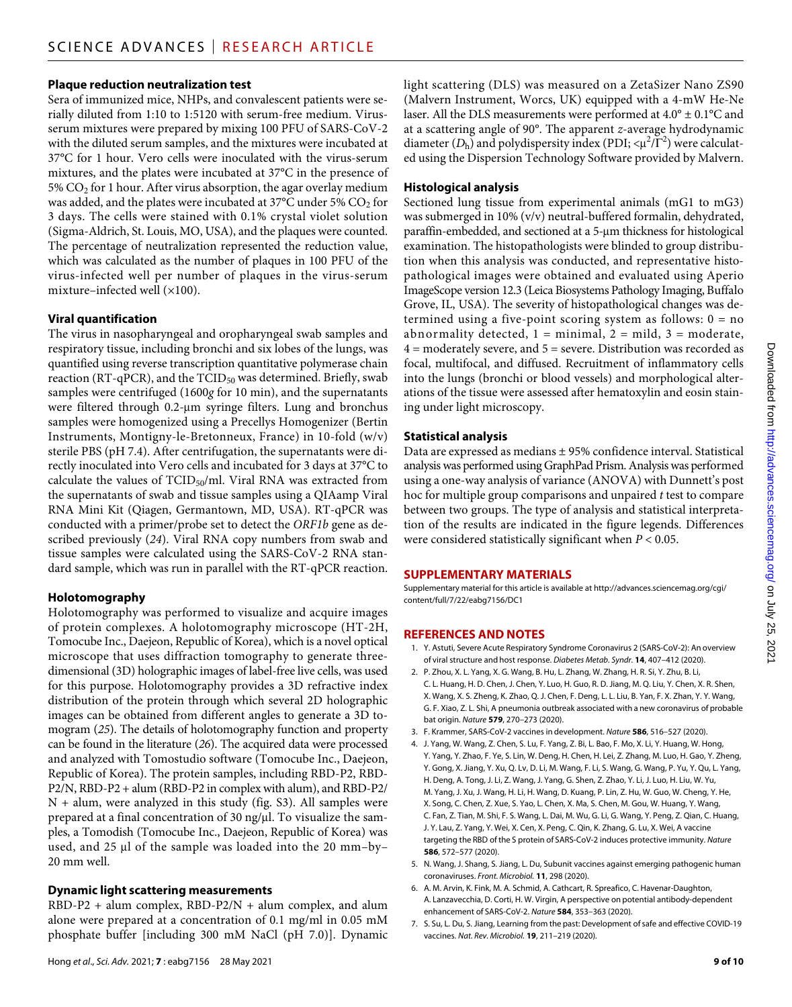#### **Plaque reduction neutralization test**

Sera of immunized mice, NHPs, and convalescent patients were serially diluted from 1:10 to 1:5120 with serum-free medium. Virusserum mixtures were prepared by mixing 100 PFU of SARS-CoV-2 with the diluted serum samples, and the mixtures were incubated at 37°C for 1 hour. Vero cells were inoculated with the virus-serum mixtures, and the plates were incubated at 37°C in the presence of 5%  $CO<sub>2</sub>$  for 1 hour. After virus absorption, the agar overlay medium was added, and the plates were incubated at 37°C under 5% CO<sub>2</sub> for 3 days. The cells were stained with 0.1% crystal violet solution (Sigma-Aldrich, St. Louis, MO, USA), and the plaques were counted. The percentage of neutralization represented the reduction value, which was calculated as the number of plaques in 100 PFU of the virus-infected well per number of plaques in the virus-serum mixture–infected well (×100).

#### **Viral quantification**

The virus in nasopharyngeal and oropharyngeal swab samples and respiratory tissue, including bronchi and six lobes of the lungs, was quantified using reverse transcription quantitative polymerase chain reaction (RT-qPCR), and the TCID<sub>50</sub> was determined. Briefly, swab samples were centrifuged (1600*g* for 10 min), and the supernatants were filtered through 0.2-um syringe filters. Lung and bronchus samples were homogenized using a Precellys Homogenizer (Bertin Instruments, Montigny-le-Bretonneux, France) in 10-fold (w/v) sterile PBS (pH 7.4). After centrifugation, the supernatants were directly inoculated into Vero cells and incubated for 3 days at 37°C to calculate the values of  $TCID_{50}/ml$ . Viral RNA was extracted from the supernatants of swab and tissue samples using a QIAamp Viral RNA Mini Kit (Qiagen, Germantown, MD, USA). RT-qPCR was conducted with a primer/probe set to detect the *ORF1b* gene as described previously (*24*). Viral RNA copy numbers from swab and tissue samples were calculated using the SARS-CoV-2 RNA standard sample, which was run in parallel with the RT-qPCR reaction.

# **Holotomography**

Holotomography was performed to visualize and acquire images of protein complexes. A holotomography microscope (HT-2H, Tomocube Inc., Daejeon, Republic of Korea), which is a novel optical microscope that uses diffraction tomography to generate threedimensional (3D) holographic images of label-free live cells, was used for this purpose. Holotomography provides a 3D refractive index distribution of the protein through which several 2D holographic images can be obtained from different angles to generate a 3D tomogram (*25*). The details of holotomography function and property can be found in the literature (*26*). The acquired data were processed and analyzed with Tomostudio software (Tomocube Inc., Daejeon, Republic of Korea). The protein samples, including RBD-P2, RBD-P2/N, RBD-P2 + alum (RBD-P2 in complex with alum), and RBD-P2/ N + alum, were analyzed in this study (fig. S3). All samples were prepared at a final concentration of 30 ng/µl. To visualize the samples, a Tomodish (Tomocube Inc., Daejeon, Republic of Korea) was used, and 25  $\mu$ l of the sample was loaded into the 20 mm-by-20 mm well.

# **Dynamic light scattering measurements**

RBD-P2 + alum complex, RBD-P2/N + alum complex, and alum alone were prepared at a concentration of 0.1 mg/ml in 0.05 mM phosphate buffer [including 300 mM NaCl (pH 7.0)]. Dynamic

light scattering (DLS) was measured on a ZetaSizer Nano ZS90 (Malvern Instrument, Worcs, UK) equipped with a 4-mW He-Ne laser. All the DLS measurements were performed at  $4.0^{\circ} \pm 0.1^{\circ}$ C and at a scattering angle of 90°. The apparent *z*-average hydrodynamic diameter  $(D_h)$  and polydispersity index (PDI;  $\langle \mu^2/\Gamma^2 \rangle$  were calculated using the Dispersion Technology Software provided by Malvern.

# **Histological analysis**

Sectioned lung tissue from experimental animals (mG1 to mG3) was submerged in 10% (v/v) neutral-buffered formalin, dehydrated, paraffin-embedded, and sectioned at a 5-um thickness for histological examination. The histopathologists were blinded to group distribution when this analysis was conducted, and representative histopathological images were obtained and evaluated using Aperio ImageScope version 12.3 (Leica Biosystems Pathology Imaging, Buffalo Grove, IL, USA). The severity of histopathological changes was determined using a five-point scoring system as follows: 0 = no abnormality detected,  $1 = \text{minimal}$ ,  $2 = \text{mild}$ ,  $3 = \text{moderate}$ , 4 = moderately severe, and 5 = severe. Distribution was recorded as focal, multifocal, and diffused. Recruitment of inflammatory cells into the lungs (bronchi or blood vessels) and morphological alterations of the tissue were assessed after hematoxylin and eosin staining under light microscopy.

# **Statistical analysis**

Data are expressed as medians ± 95% confidence interval. Statistical analysis was performed using GraphPad Prism. Analysis was performed using a one-way analysis of variance (ANOVA) with Dunnett's post hoc for multiple group comparisons and unpaired *t* test to compare between two groups. The type of analysis and statistical interpretation of the results are indicated in the figure legends. Differences were considered statistically significant when *P* < 0.05.

# **SUPPLEMENTARY MATERIALS**

Supplementary material for this article is available at [http://advances.sciencemag.org/cgi/](http://advances.sciencemag.org/cgi/content/full/7/22/eabg7156/DC1) [content/full/7/22/eabg7156/DC1](http://advances.sciencemag.org/cgi/content/full/7/22/eabg7156/DC1)

# **REFERENCES AND NOTES**

- 1. Y. Astuti, Severe Acute Respiratory Syndrome Coronavirus 2 (SARS-CoV-2): An overview of viral structure and host response. *Diabetes Metab. Syndr.* **14**, 407–412 (2020).
- 2. P. Zhou, X. L. Yang, X. G. Wang, B. Hu, L. Zhang, W. Zhang, H. R. Si, Y. Zhu, B. Li, C. L. Huang, H. D. Chen, J. Chen, Y. Luo, H. Guo, R. D. Jiang, M. Q. Liu, Y. Chen, X. R. Shen, X. Wang, X. S. Zheng, K. Zhao, Q. J. Chen, F. Deng, L. L. Liu, B. Yan, F. X. Zhan, Y. Y. Wang, G. F. Xiao, Z. L. Shi, A pneumonia outbreak associated with a new coronavirus of probable bat origin. *Nature* **579**, 270–273 (2020).
- 3. F. Krammer, SARS-CoV-2 vaccines in development. *Nature* **586**, 516–527 (2020).
- 4. J. Yang, W. Wang, Z. Chen, S. Lu, F. Yang, Z. Bi, L. Bao, F. Mo, X. Li, Y. Huang, W. Hong, Y. Yang, Y. Zhao, F. Ye, S. Lin, W. Deng, H. Chen, H. Lei, Z. Zhang, M. Luo, H. Gao, Y. Zheng, Y. Gong, X. Jiang, Y. Xu, Q. Lv, D. Li, M. Wang, F. Li, S. Wang, G. Wang, P. Yu, Y. Qu, L. Yang, H. Deng, A. Tong, J. Li, Z. Wang, J. Yang, G. Shen, Z. Zhao, Y. Li, J. Luo, H. Liu, W. Yu, M. Yang, J. Xu, J. Wang, H. Li, H. Wang, D. Kuang, P. Lin, Z. Hu, W. Guo, W. Cheng, Y. He, X. Song, C. Chen, Z. Xue, S. Yao, L. Chen, X. Ma, S. Chen, M. Gou, W. Huang, Y. Wang, C. Fan, Z. Tian, M. Shi, F. S. Wang, L. Dai, M. Wu, G. Li, G. Wang, Y. Peng, Z. Qian, C. Huang, J. Y. Lau, Z. Yang, Y. Wei, X. Cen, X. Peng, C. Qin, K. Zhang, G. Lu, X. Wei, A vaccine targeting the RBD of the S protein of SARS-CoV-2 induces protective immunity. *Nature* **586**, 572–577 (2020).
- 5. N. Wang, J. Shang, S. Jiang, L. Du, Subunit vaccines against emerging pathogenic human coronaviruses. *Front. Microbiol.* **11**, 298 (2020).
- 6. A. M. Arvin, K. Fink, M. A. Schmid, A. Cathcart, R. Spreafico, C. Havenar-Daughton, A. Lanzavecchia, D. Corti, H. W. Virgin, A perspective on potential antibody-dependent enhancement of SARS-CoV-2. *Nature* **584**, 353–363 (2020).
- 7. S. Su, L. Du, S. Jiang, Learning from the past: Development ofsafe and effective COVID-19 vaccines. *Nat. Rev. Microbiol.* **19**, 211–219 (2020).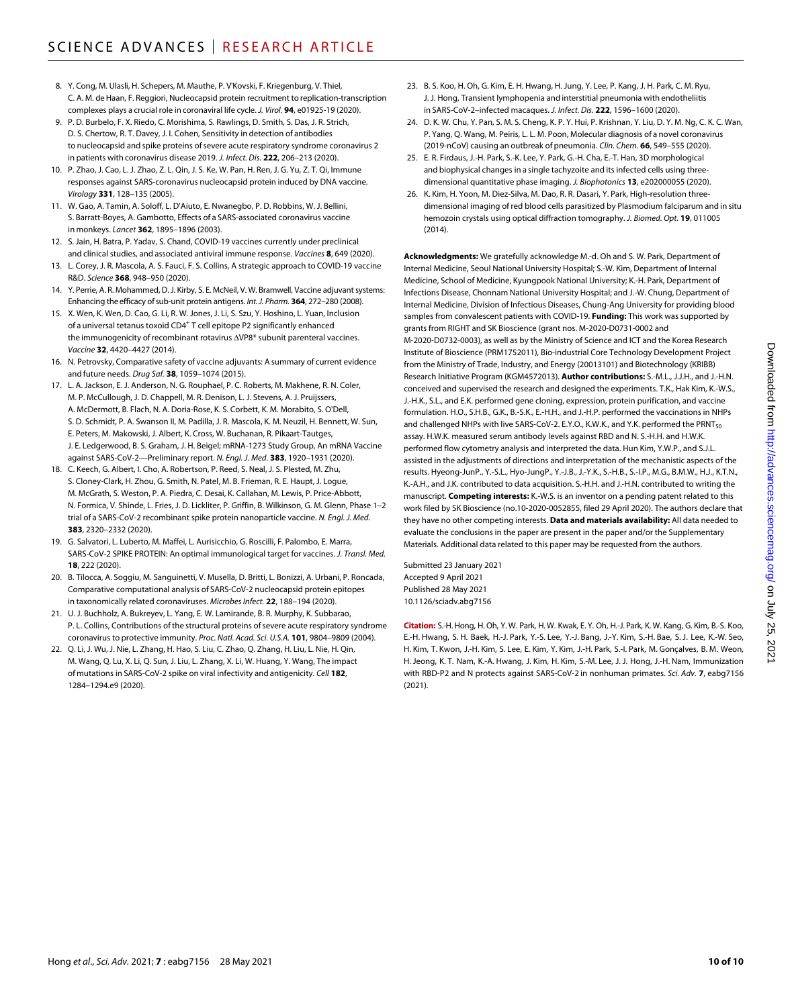- 8. Y. Cong, M. Ulasli, H. Schepers, M. Mauthe, P. V'Kovski, F. Kriegenburg, V. Thiel, C. A. M. deHaan, F. Reggiori, Nucleocapsid protein recruitment to replication-transcription complexes plays a crucial role in coronaviral life cycle. *J. Virol.* **94**, e01925-19 (2020).
- 9. P. D. Burbelo, F. X. Riedo, C. Morishima, S. Rawlings, D. Smith, S. Das, J. R. Strich, D. S. Chertow, R. T. Davey, J. I. Cohen, Sensitivity in detection of antibodies to nucleocapsid and spike proteins of severe acute respiratory syndrome coronavirus 2 in patients with coronavirus disease 2019. *J. Infect. Dis.* **222**, 206–213 (2020).
- 10. P. Zhao, J. Cao, L. J. Zhao, Z. L. Qin, J. S. Ke, W. Pan, H. Ren, J. G. Yu, Z. T. Qi, Immune responses against SARS-coronavirus nucleocapsid protein induced by DNA vaccine. *Virology* **331**, 128–135 (2005).
- 11. W. Gao, A. Tamin, A. Soloff, L. D'Aiuto, E. Nwanegbo, P. D. Robbins, W. J. Bellini, S. Barratt-Boyes, A. Gambotto, Effects of a SARS-associated coronavirus vaccine in monkeys. *Lancet* **362**, 1895–1896 (2003).
- 12. S. Jain, H. Batra, P. Yadav, S. Chand, COVID-19 vaccines currently under preclinical and clinical studies, and associated antiviral immune response. *Vaccines* **8**, 649 (2020).
- 13. L. Corey, J. R. Mascola, A. S. Fauci, F. S. Collins, A strategic approach to COVID-19 vaccine R&D. *Science* **368**, 948–950 (2020).
- 14. Y. Perrie, A. R. Mohammed, D.J. Kirby, S. E. McNeil, V. W. Bramwell, Vaccine adjuvant systems: Enhancing the efficacy of sub-unit protein antigens. Int. J. Pharm. 364, 272-280 (2008).
- 15. X. Wen, K. Wen, D. Cao, G. Li, R. W. Jones, J. Li, S. Szu, Y. Hoshino, L. Yuan, Inclusion of a universal tetanus toxoid CD4<sup>+</sup> T cell epitope P2 significantly enhanced the immunogenicity of recombinant rotavirus  $\Delta VPB*$  subunit parenteral vaccines. *Vaccine* **32**, 4420–4427 (2014).
- 16. N. Petrovsky, Comparative safety of vaccine adjuvants: A summary of current evidence and future needs. *Drug Saf.* **38**, 1059–1074 (2015).
- 17. L. A. Jackson, E. J. Anderson, N. G. Rouphael, P. C. Roberts, M. Makhene, R. N. Coler, M. P. McCullough, J. D. Chappell, M. R. Denison, L. J. Stevens, A. J. Pruijssers, A. McDermott, B. Flach, N. A. Doria-Rose, K. S. Corbett, K. M. Morabito, S. O'Dell, S. D. Schmidt, P. A. Swanson II, M. Padilla, J. R. Mascola, K. M. Neuzil, H. Bennett, W. Sun, E. Peters, M. Makowski, J. Albert, K. Cross, W. Buchanan, R. Pikaart-Tautges, J. E. Ledgerwood, B. S. Graham, J. H. Beigel; mRNA-1273 Study Group, An mRNA Vaccine against SARS-CoV-2—Preliminary report. *N. Engl. J. Med.* **383**, 1920–1931 (2020).
- 18. C. Keech, G. Albert, I. Cho, A. Robertson, P. Reed, S. Neal, J. S. Plested, M. Zhu, S. Cloney-Clark, H. Zhou, G. Smith, N. Patel, M. B. Frieman, R. E. Haupt, J. Logue, M. McGrath, S. Weston, P. A. Piedra, C. Desai, K. Callahan, M. Lewis, P. Price-Abbott, N. Formica, V. Shinde, L. Fries, J. D. Lickliter, P. Griffin, B. Wilkinson, G. M. Glenn, Phase 1–2 trial of a SARS-CoV-2 recombinant spike protein nanoparticle vaccine. *N. Engl. J. Med.* **383**, 2320–2332 (2020).
- 19. G. Salvatori, L. Luberto, M. Maffei, L. Aurisicchio, G. Roscilli, F. Palombo, E. Marra, SARS-CoV-2 SPIKE PROTEIN: An optimal immunological target for vaccines. *J. Transl. Med.* **18**, 222 (2020).
- 20. B. Tilocca, A. Soggiu, M. Sanguinetti, V. Musella, D. Britti, L. Bonizzi, A. Urbani, P. Roncada, Comparative computational analysis of SARS-CoV-2 nucleocapsid protein epitopes in taxonomically related coronaviruses. *Microbes Infect.* **22**, 188–194 (2020).
- 21. U. J. Buchholz, A. Bukreyev, L. Yang, E. W. Lamirande, B. R. Murphy, K. Subbarao, P. L. Collins, Contributions of the structural proteins of severe acute respiratory syndrome coronavirus to protective immunity. *Proc. Natl. Acad. Sci. U.S.A.* **101**, 9804–9809 (2004).
- 22. Q. Li, J. Wu, J. Nie, L. Zhang, H. Hao, S. Liu, C. Zhao, Q. Zhang, H. Liu, L. Nie, H. Qin, M. Wang, Q. Lu, X. Li, Q. Sun, J. Liu, L. Zhang, X. Li, W. Huang, Y. Wang, The impact of mutations in SARS-CoV-2 spike on viral infectivity and antigenicity. *Cell* **182**, 1284–1294.e9 (2020).
- 23. B. S. Koo, H. Oh, G. Kim, E. H. Hwang, H. Jung, Y. Lee, P. Kang, J. H. Park, C. M. Ryu, J. J. Hong, Transient lymphopenia and interstitial pneumonia with endotheliitis in SARS-CoV-2–infected macaques. *J. Infect. Dis.* **222**, 1596–1600 (2020).
- 24. D. K. W. Chu, Y. Pan, S. M. S. Cheng, K. P. Y. Hui, P. Krishnan, Y. Liu, D. Y. M. Ng, C. K. C. Wan, P. Yang, Q. Wang, M. Peiris, L. L. M. Poon, Molecular diagnosis of a novel coronavirus (2019-nCoV) causing an outbreak of pneumonia. *Clin. Chem.* **66**, 549–555 (2020).
- 25. E. R. Firdaus, J.-H. Park, S.-K. Lee, Y. Park, G.-H. Cha, E.-T. Han, 3D morphological and biophysical changes in a single tachyzoite and its infected cells using threedimensional quantitative phase imaging. *J. Biophotonics* **13**, e202000055 (2020).
- K. Kim, H. Yoon, M. Diez-Silva, M. Dao, R. R. Dasari, Y. Park, High-resolution threedimensional imaging of red blood cells parasitized by Plasmodium falciparum and in situ hemozoin crystals using optical diffraction tomography. *J. Biomed. Opt.* **19**, 011005 (2014).

**Acknowledgments:** We gratefully acknowledge M.-d. Oh and S. W. Park, Department of Internal Medicine, Seoul National University Hospital; S.-W. Kim, Department of Internal Medicine, School of Medicine, Kyungpook National University; K.-H. Park, Department of Infections Disease, Chonnam National University Hospital; and J.-W. Chung, Department of Internal Medicine, Division of Infectious Diseases, Chung-Ang University for providing blood samples from convalescent patients with COVID-19. **Funding:** This work was supported by grants from RIGHT and SK Bioscience (grant nos. M-2020-D0731-0002 and M-2020-D0732-0003), as well as by the Ministry of Science and ICT and the Korea Research Institute of Bioscience (PRM1752011), Bio-industrial Core Technology Development Project from the Ministry of Trade, Industry, and Energy (20013101) and Biotechnology (KRIBB) Research Initiative Program (KGM4572013). **Author contributions:** S.-M.L., J.J.H., and J.-H.N. conceived and supervised the research and designed the experiments. T.K., Hak Kim, K.-W.S., J.-H.K., S.L., and E.K. performed gene cloning, expression, protein purification, and vaccine formulation. H.O., S.H.B., G.K., B.-S.K., E.-H.H., and J.-H.P. performed the vaccinations in NHPs and challenged NHPs with live SARS-CoV-2. E.Y.O., K.W.K., and Y.K. performed the PRNT<sub>50</sub> assay. H.W.K. measured serum antibody levels against RBD and N. S.-H.H. and H.W.K. performed flow cytometry analysis and interpreted the data. Hun Kim, Y.W.P., and S.J.L. assisted in the adjustments of directions and interpretation of the mechanistic aspects of the results. Hyeong-JunP., Y.-S.L., Hyo-JungP., Y.-J.B., J.-Y.K., S.-H.B., S.-I.P., M.G., B.M.W., H.J., K.T.N., K.-A.H., and J.K. contributed to data acquisition. S.-H.H. and J.-H.N. contributed to writing the manuscript. **Competing interests:** K.-W.S. is an inventor on a pending patent related to this work filed by SK Bioscience (no.10-2020-0052855, filed 29 April 2020). The authors declare that they have no other competing interests. **Data and materials availability:** All data needed to evaluate the conclusions in the paper are present in the paper and/or the Supplementary Materials. Additional data related to this paper may be requested from the authors.

Submitted 23 January 2021 Accepted 9 April 2021 Published 28 May 2021 10.1126/sciadv.abg7156

**Citation:** S.-H. Hong, H.Oh, Y. W. Park, H. W. Kwak, E. Y. Oh, H.-J. Park, K. W. Kang, G. Kim, B.-S. Koo, E.-H. Hwang, S. H. Baek, H.-J. Park, Y.-S. Lee, Y.-J. Bang, J.-Y. Kim, S.-H. Bae, S. J. Lee, K.-W. Seo, H. Kim, T. Kwon, J.-H. Kim, S. Lee, E. Kim, Y. Kim, J.-H. Park, S.-I. Park, M. Gonçalves, B. M. Weon, H. Jeong, K. T. Nam, K.-A. Hwang, J. Kim, H. Kim, S.-M. Lee, J. J. Hong, J.-H. Nam, Immunization with RBD-P2 and N protects against SARS-CoV-2 in nonhuman primates. *Sci. Adv.* **7**, eabg7156 (2021).